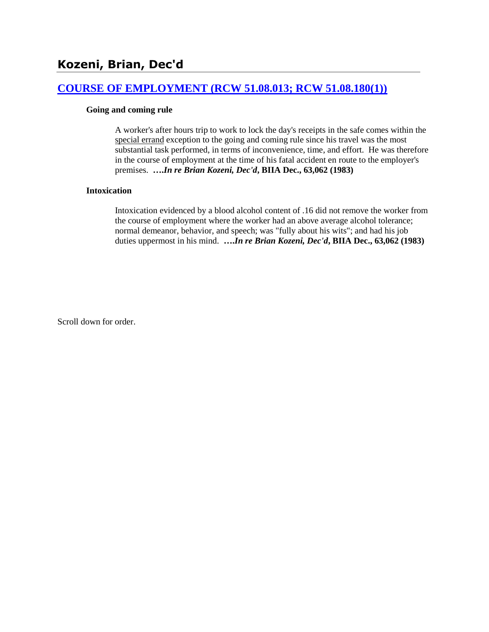## **[COURSE OF EMPLOYMENT \(RCW 51.08.013; RCW 51.08.180\(1\)\)](http://www.biia.wa.gov/SDSubjectIndex.html#COURSE_OF_EMPLOYMENT)**

### **Going and coming rule**

A worker's after hours trip to work to lock the day's receipts in the safe comes within the special errand exception to the going and coming rule since his travel was the most substantial task performed, in terms of inconvenience, time, and effort. He was therefore in the course of employment at the time of his fatal accident en route to the employer's premises. **….***In re Brian Kozeni, Dec'd***, BIIA Dec., 63,062 (1983)** 

### **Intoxication**

Intoxication evidenced by a blood alcohol content of .16 did not remove the worker from the course of employment where the worker had an above average alcohol tolerance; normal demeanor, behavior, and speech; was "fully about his wits"; and had his job duties uppermost in his mind. **….***In re Brian Kozeni, Dec'd***, BIIA Dec., 63,062 (1983)**

Scroll down for order.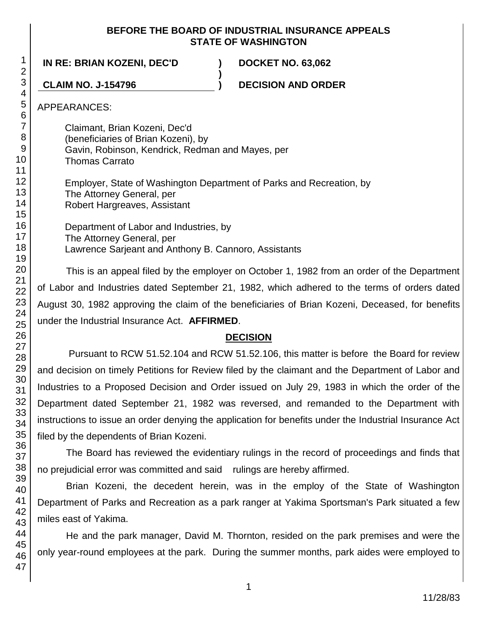### **BEFORE THE BOARD OF INDUSTRIAL INSURANCE APPEALS STATE OF WASHINGTON**

**IN RE: BRIAN KOZENI, DEC'D ) DOCKET NO. 63,062**

**CLAIM NO. J-154796 ) DECISION AND ORDER**

APPEARANCES:

Claimant, Brian Kozeni, Dec'd (beneficiaries of Brian Kozeni), by Gavin, Robinson, Kendrick, Redman and Mayes, per Thomas Carrato Employer, State of Washington Department of Parks and Recreation, by The Attorney General, per Robert Hargreaves, Assistant

**)**

Department of Labor and Industries, by The Attorney General, per Lawrence Sarjeant and Anthony B. Cannoro, Assistants

This is an appeal filed by the employer on October 1, 1982 from an order of the Department of Labor and Industries dated September 21, 1982, which adhered to the terms of orders dated August 30, 1982 approving the claim of the beneficiaries of Brian Kozeni, Deceased, for benefits under the Industrial Insurance Act. **AFFIRMED**.

# **DECISION**

Pursuant to RCW 51.52.104 and RCW 51.52.106, this matter is before the Board for review and decision on timely Petitions for Review filed by the claimant and the Department of Labor and Industries to a Proposed Decision and Order issued on July 29, 1983 in which the order of the Department dated September 21, 1982 was reversed, and remanded to the Department with instructions to issue an order denying the application for benefits under the Industrial Insurance Act filed by the dependents of Brian Kozeni.

The Board has reviewed the evidentiary rulings in the record of proceedings and finds that no prejudicial error was committed and said rulings are hereby affirmed.

Brian Kozeni, the decedent herein, was in the employ of the State of Washington Department of Parks and Recreation as a park ranger at Yakima Sportsman's Park situated a few miles east of Yakima.

He and the park manager, David M. Thornton, resided on the park premises and were the only year-round employees at the park. During the summer months, park aides were employed to

1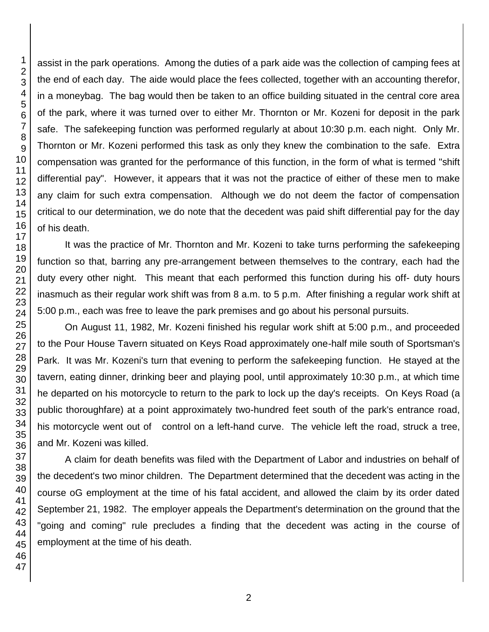assist in the park operations. Among the duties of a park aide was the collection of camping fees at the end of each day. The aide would place the fees collected, together with an accounting therefor, in a moneybag. The bag would then be taken to an office building situated in the central core area of the park, where it was turned over to either Mr. Thornton or Mr. Kozeni for deposit in the park safe. The safekeeping function was performed regularly at about 10:30 p.m. each night. Only Mr. Thornton or Mr. Kozeni performed this task as only they knew the combination to the safe. Extra compensation was granted for the performance of this function, in the form of what is termed "shift differential pay". However, it appears that it was not the practice of either of these men to make any claim for such extra compensation. Although we do not deem the factor of compensation critical to our determination, we do note that the decedent was paid shift differential pay for the day of his death.

It was the practice of Mr. Thornton and Mr. Kozeni to take turns performing the safekeeping function so that, barring any pre-arrangement between themselves to the contrary, each had the duty every other night. This meant that each performed this function during his off- duty hours inasmuch as their regular work shift was from 8 a.m. to 5 p.m. After finishing a regular work shift at 5:00 p.m., each was free to leave the park premises and go about his personal pursuits.

On August 11, 1982, Mr. Kozeni finished his regular work shift at 5:00 p.m., and proceeded to the Pour House Tavern situated on Keys Road approximately one-half mile south of Sportsman's Park. It was Mr. Kozeni's turn that evening to perform the safekeeping function. He stayed at the tavern, eating dinner, drinking beer and playing pool, until approximately 10:30 p.m., at which time he departed on his motorcycle to return to the park to lock up the day's receipts. On Keys Road (a public thoroughfare) at a point approximately two-hundred feet south of the park's entrance road, his motorcycle went out of control on a left-hand curve. The vehicle left the road, struck a tree, and Mr. Kozeni was killed.

A claim for death benefits was filed with the Department of Labor and industries on behalf of the decedent's two minor children. The Department determined that the decedent was acting in the course oG employment at the time of his fatal accident, and allowed the claim by its order dated September 21, 1982. The employer appeals the Department's determination on the ground that the "going and coming" rule precludes a finding that the decedent was acting in the course of employment at the time of his death.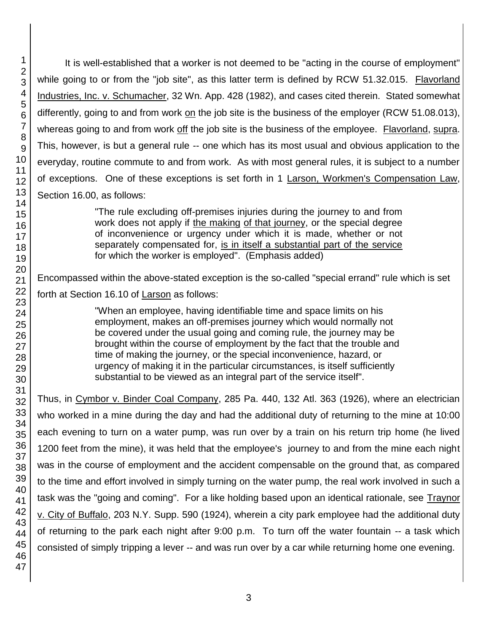It is well-established that a worker is not deemed to be "acting in the course of employment" while going to or from the "job site", as this latter term is defined by RCW 51.32.015. Flavorland Industries, Inc. v. Schumacher, 32 Wn. App. 428 (1982), and cases cited therein. Stated somewhat differently, going to and from work on the job site is the business of the employer (RCW 51.08.013), whereas going to and from work off the job site is the business of the employee. Flavorland, supra. This, however, is but a general rule -- one which has its most usual and obvious application to the everyday, routine commute to and from work. As with most general rules, it is subject to a number of exceptions. One of these exceptions is set forth in 1 Larson, Workmen's Compensation Law, Section 16.00, as follows:

> "The rule excluding off-premises injuries during the journey to and from work does not apply if the making of that journey, or the special degree of inconvenience or urgency under which it is made, whether or not separately compensated for, is in itself a substantial part of the service for which the worker is employed". (Emphasis added)

Encompassed within the above-stated exception is the so-called "special errand" rule which is set forth at Section 16.10 of Larson as follows:

> "When an employee, having identifiable time and space limits on his employment, makes an off-premises journey which would normally not be covered under the usual going and coming rule, the journey may be brought within the course of employment by the fact that the trouble and time of making the journey, or the special inconvenience, hazard, or urgency of making it in the particular circumstances, is itself sufficiently substantial to be viewed as an integral part of the service itself".

Thus, in Cymbor v. Binder Coal Company, 285 Pa. 440, 132 Atl. 363 (1926), where an electrician who worked in a mine during the day and had the additional duty of returning to the mine at 10:00 each evening to turn on a water pump, was run over by a train on his return trip home (he lived 1200 feet from the mine), it was held that the employee's journey to and from the mine each night was in the course of employment and the accident compensable on the ground that, as compared to the time and effort involved in simply turning on the water pump, the real work involved in such a task was the "going and coming". For a like holding based upon an identical rationale, see Traynor v. City of Buffalo, 203 N.Y. Supp. 590 (1924), wherein a city park employee had the additional duty of returning to the park each night after 9:00 p.m. To turn off the water fountain -- a task which consisted of simply tripping a lever -- and was run over by a car while returning home one evening.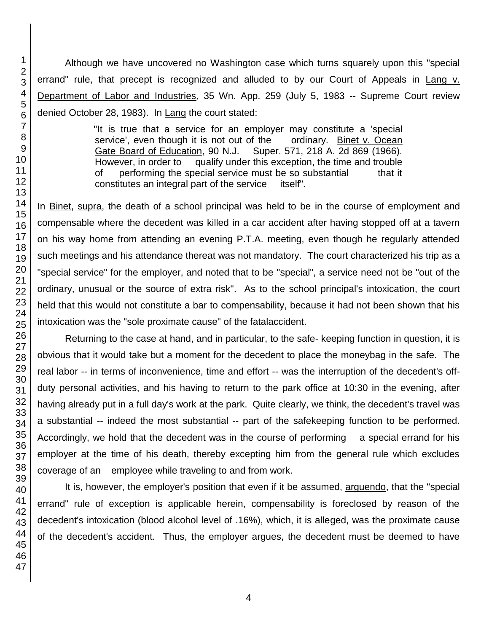Although we have uncovered no Washington case which turns squarely upon this "special errand" rule, that precept is recognized and alluded to by our Court of Appeals in Lang v. Department of Labor and Industries, 35 Wn. App. 259 (July 5, 1983 -- Supreme Court review denied October 28, 1983). In Lang the court stated:

> "It is true that a service for an employer may constitute a 'special service', even though it is not out of the ordinary. Binet v. Ocean Gate Board of Education, 90 N.J. Super. 571, 218 A. 2d 869 (1966). However, in order to qualify under this exception, the time and trouble of performing the special service must be so substantial that it constitutes an integral part of the service itself".

In Binet, supra, the death of a school principal was held to be in the course of employment and compensable where the decedent was killed in a car accident after having stopped off at a tavern on his way home from attending an evening P.T.A. meeting, even though he regularly attended such meetings and his attendance thereat was not mandatory. The court characterized his trip as a "special service" for the employer, and noted that to be "special", a service need not be "out of the ordinary, unusual or the source of extra risk". As to the school principal's intoxication, the court held that this would not constitute a bar to compensability, because it had not been shown that his intoxication was the "sole proximate cause" of the fatalaccident.

Returning to the case at hand, and in particular, to the safe- keeping function in question, it is obvious that it would take but a moment for the decedent to place the moneybag in the safe. The real labor -- in terms of inconvenience, time and effort -- was the interruption of the decedent's offduty personal activities, and his having to return to the park office at 10:30 in the evening, after having already put in a full day's work at the park. Quite clearly, we think, the decedent's travel was a substantial -- indeed the most substantial -- part of the safekeeping function to be performed. Accordingly, we hold that the decedent was in the course of performing a special errand for his employer at the time of his death, thereby excepting him from the general rule which excludes coverage of an employee while traveling to and from work.

It is, however, the employer's position that even if it be assumed, arguendo, that the "special errand" rule of exception is applicable herein, compensability is foreclosed by reason of the decedent's intoxication (blood alcohol level of .16%), which, it is alleged, was the proximate cause of the decedent's accident. Thus, the employer argues, the decedent must be deemed to have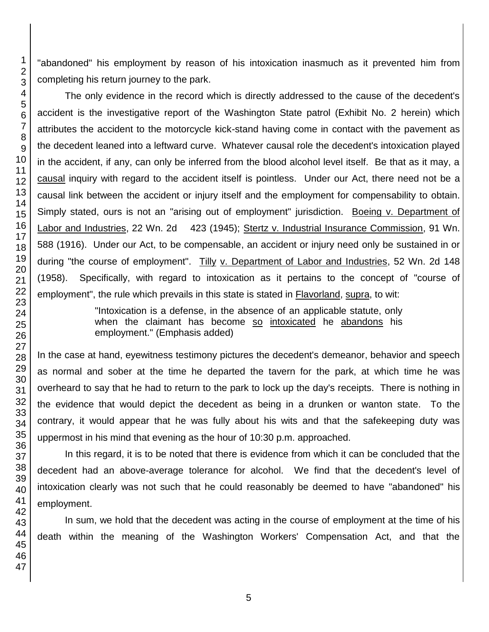"abandoned" his employment by reason of his intoxication inasmuch as it prevented him from completing his return journey to the park.

The only evidence in the record which is directly addressed to the cause of the decedent's accident is the investigative report of the Washington State patrol (Exhibit No. 2 herein) which attributes the accident to the motorcycle kick-stand having come in contact with the pavement as the decedent leaned into a leftward curve. Whatever causal role the decedent's intoxication played in the accident, if any, can only be inferred from the blood alcohol level itself. Be that as it may, a causal inquiry with regard to the accident itself is pointless. Under our Act, there need not be a causal link between the accident or injury itself and the employment for compensability to obtain. Simply stated, ours is not an "arising out of employment" jurisdiction. Boeing v. Department of Labor and Industries, 22 Wn. 2d 423 (1945); Stertz v. Industrial Insurance Commission, 91 Wn. 588 (1916). Under our Act, to be compensable, an accident or injury need only be sustained in or during "the course of employment". Tilly v. Department of Labor and Industries, 52 Wn. 2d 148 (1958). Specifically, with regard to intoxication as it pertains to the concept of "course of employment", the rule which prevails in this state is stated in Flavorland, supra, to wit:

> "Intoxication is a defense, in the absence of an applicable statute, only when the claimant has become so intoxicated he abandons his employment." (Emphasis added)

In the case at hand, eyewitness testimony pictures the decedent's demeanor, behavior and speech as normal and sober at the time he departed the tavern for the park, at which time he was overheard to say that he had to return to the park to lock up the day's receipts. There is nothing in the evidence that would depict the decedent as being in a drunken or wanton state. To the contrary, it would appear that he was fully about his wits and that the safekeeping duty was uppermost in his mind that evening as the hour of 10:30 p.m. approached.

In this regard, it is to be noted that there is evidence from which it can be concluded that the decedent had an above-average tolerance for alcohol. We find that the decedent's level of intoxication clearly was not such that he could reasonably be deemed to have "abandoned" his employment.

In sum, we hold that the decedent was acting in the course of employment at the time of his death within the meaning of the Washington Workers' Compensation Act, and that the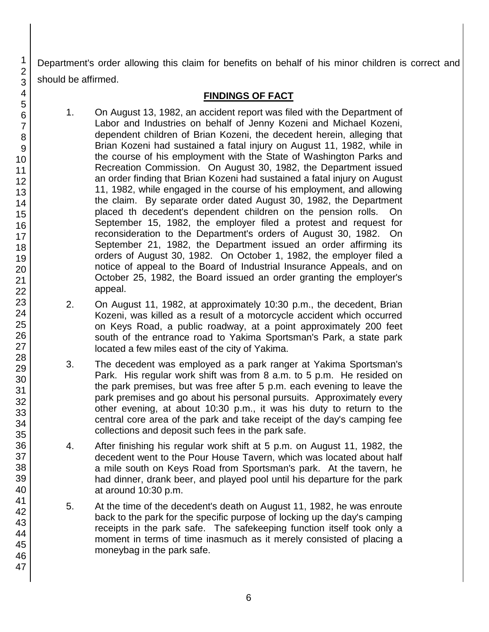Department's order allowing this claim for benefits on behalf of his minor children is correct and should be affirmed.

# **FINDINGS OF FACT**

- 1. On August 13, 1982, an accident report was filed with the Department of Labor and Industries on behalf of Jenny Kozeni and Michael Kozeni, dependent children of Brian Kozeni, the decedent herein, alleging that Brian Kozeni had sustained a fatal injury on August 11, 1982, while in the course of his employment with the State of Washington Parks and Recreation Commission. On August 30, 1982, the Department issued an order finding that Brian Kozeni had sustained a fatal injury on August 11, 1982, while engaged in the course of his employment, and allowing the claim. By separate order dated August 30, 1982, the Department placed th decedent's dependent children on the pension rolls. On September 15, 1982, the employer filed a protest and request for reconsideration to the Department's orders of August 30, 1982. On September 21, 1982, the Department issued an order affirming its orders of August 30, 1982. On October 1, 1982, the employer filed a notice of appeal to the Board of Industrial Insurance Appeals, and on October 25, 1982, the Board issued an order granting the employer's appeal.
- 2. On August 11, 1982, at approximately 10:30 p.m., the decedent, Brian Kozeni, was killed as a result of a motorcycle accident which occurred on Keys Road, a public roadway, at a point approximately 200 feet south of the entrance road to Yakima Sportsman's Park, a state park located a few miles east of the city of Yakima.
- 3. The decedent was employed as a park ranger at Yakima Sportsman's Park. His regular work shift was from 8 a.m. to 5 p.m. He resided on the park premises, but was free after 5 p.m. each evening to leave the park premises and go about his personal pursuits. Approximately every other evening, at about 10:30 p.m., it was his duty to return to the central core area of the park and take receipt of the day's camping fee collections and deposit such fees in the park safe.
- 4. After finishing his regular work shift at 5 p.m. on August 11, 1982, the decedent went to the Pour House Tavern, which was located about half a mile south on Keys Road from Sportsman's park. At the tavern, he had dinner, drank beer, and played pool until his departure for the park at around 10:30 p.m.
- 5. At the time of the decedent's death on August 11, 1982, he was enroute back to the park for the specific purpose of locking up the day's camping receipts in the park safe. The safekeeping function itself took only a moment in terms of time inasmuch as it merely consisted of placing a moneybag in the park safe.